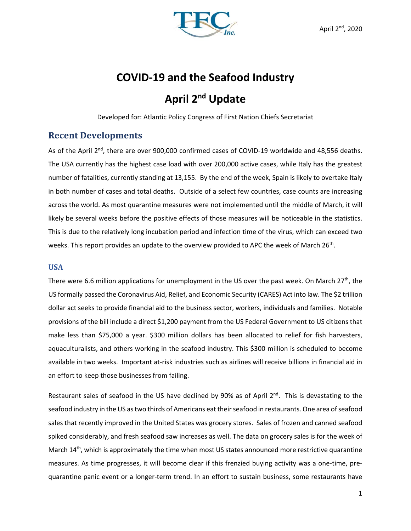

# **COVID‐19 and the Seafood Industry April 2nd Update**

Developed for: Atlantic Policy Congress of First Nation Chiefs Secretariat

# **Recent Developments**

As of the April 2<sup>nd</sup>, there are over 900,000 confirmed cases of COVID-19 worldwide and 48,556 deaths. The USA currently has the highest case load with over 200,000 active cases, while Italy has the greatest number of fatalities, currently standing at 13,155. By the end of the week, Spain is likely to overtake Italy in both number of cases and total deaths. Outside of a select few countries, case counts are increasing across the world. As most quarantine measures were not implemented until the middle of March, it will likely be several weeks before the positive effects of those measures will be noticeable in the statistics. This is due to the relatively long incubation period and infection time of the virus, which can exceed two weeks. This report provides an update to the overview provided to APC the week of March 26<sup>th</sup>.

## **USA**

There were 6.6 million applications for unemployment in the US over the past week. On March  $27<sup>th</sup>$ , the US formally passed the Coronavirus Aid, Relief, and Economic Security (CARES) Act into law. The \$2 trillion dollar act seeks to provide financial aid to the business sector, workers, individuals and families. Notable provisions of the bill include a direct \$1,200 payment from the US Federal Government to US citizens that make less than \$75,000 a year. \$300 million dollars has been allocated to relief for fish harvesters, aquaculturalists, and others working in the seafood industry. This \$300 million is scheduled to become available in two weeks. Important at‐risk industries such as airlines will receive billions in financial aid in an effort to keep those businesses from failing.

Restaurant sales of seafood in the US have declined by 90% as of April  $2<sup>nd</sup>$ . This is devastating to the seafood industry in the US as two thirds of Americans eat their seafood in restaurants. One area of seafood sales that recently improved in the United States was grocery stores. Sales of frozen and canned seafood spiked considerably, and fresh seafood saw increases as well. The data on grocery sales is for the week of March 14<sup>th</sup>, which is approximately the time when most US states announced more restrictive quarantine measures. As time progresses, it will become clear if this frenzied buying activity was a one-time, prequarantine panic event or a longer‐term trend. In an effort to sustain business, some restaurants have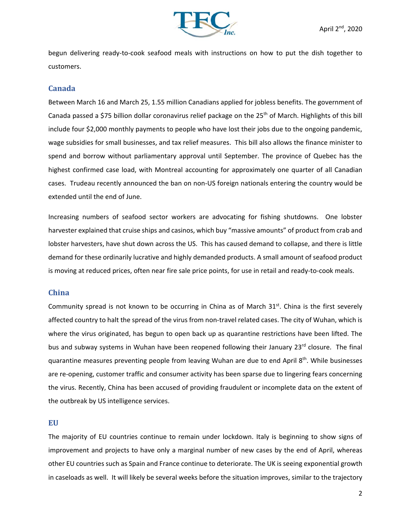

begun delivering ready-to-cook seafood meals with instructions on how to put the dish together to customers.

#### **Canada**

Between March 16 and March 25, 1.55 million Canadians applied for jobless benefits. The government of Canada passed a \$75 billion dollar coronavirus relief package on the 25<sup>th</sup> of March. Highlights of this bill include four \$2,000 monthly payments to people who have lost their jobs due to the ongoing pandemic, wage subsidies for small businesses, and tax relief measures. This bill also allows the finance minister to spend and borrow without parliamentary approval until September. The province of Quebec has the highest confirmed case load, with Montreal accounting for approximately one quarter of all Canadian cases. Trudeau recently announced the ban on non‐US foreign nationals entering the country would be extended until the end of June.

Increasing numbers of seafood sector workers are advocating for fishing shutdowns. One lobster harvester explained that cruise ships and casinos, which buy "massive amounts" of product from crab and lobster harvesters, have shut down across the US. This has caused demand to collapse, and there is little demand for these ordinarily lucrative and highly demanded products. A small amount of seafood product is moving at reduced prices, often near fire sale price points, for use in retail and ready‐to‐cook meals.

#### **China**

Community spread is not known to be occurring in China as of March  $31<sup>st</sup>$ . China is the first severely affected country to halt the spread of the virus from non-travel related cases. The city of Wuhan, which is where the virus originated, has begun to open back up as quarantine restrictions have been lifted. The bus and subway systems in Wuhan have been reopened following their January 23rd closure. The final quarantine measures preventing people from leaving Wuhan are due to end April 8<sup>th</sup>. While businesses are re-opening, customer traffic and consumer activity has been sparse due to lingering fears concerning the virus. Recently, China has been accused of providing fraudulent or incomplete data on the extent of the outbreak by US intelligence services.

#### **EU**

The majority of EU countries continue to remain under lockdown. Italy is beginning to show signs of improvement and projects to have only a marginal number of new cases by the end of April, whereas other EU countries such as Spain and France continue to deteriorate. The UK is seeing exponential growth in caseloads as well. It will likely be several weeks before the situation improves, similar to the trajectory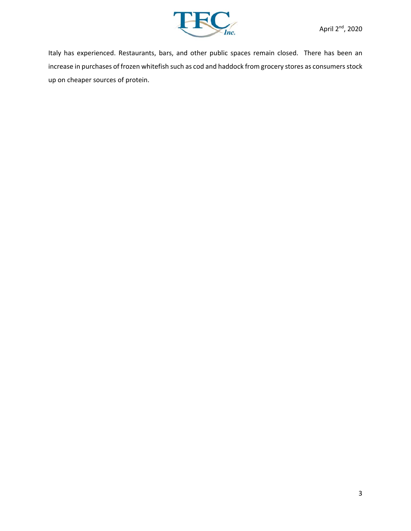

Italy has experienced. Restaurants, bars, and other public spaces remain closed. There has been an increase in purchases of frozen whitefish such as cod and haddock from grocery stores as consumers stock up on cheaper sources of protein.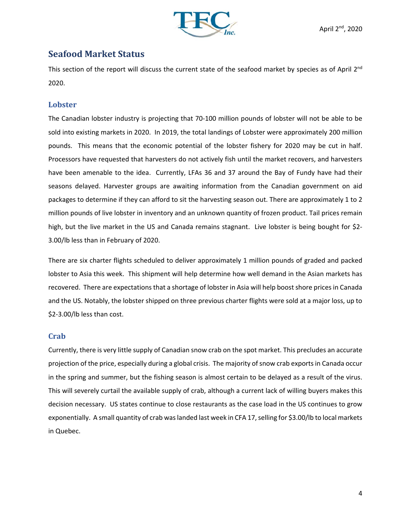

# **Seafood Market Status**

This section of the report will discuss the current state of the seafood market by species as of April 2<sup>nd</sup> 2020.

## **Lobster**

The Canadian lobster industry is projecting that 70‐100 million pounds of lobster will not be able to be sold into existing markets in 2020. In 2019, the total landings of Lobster were approximately 200 million pounds. This means that the economic potential of the lobster fishery for 2020 may be cut in half. Processors have requested that harvesters do not actively fish until the market recovers, and harvesters have been amenable to the idea. Currently, LFAs 36 and 37 around the Bay of Fundy have had their seasons delayed. Harvester groups are awaiting information from the Canadian government on aid packages to determine if they can afford to sit the harvesting season out. There are approximately 1 to 2 million pounds of live lobster in inventory and an unknown quantity of frozen product. Tail prices remain high, but the live market in the US and Canada remains stagnant. Live lobster is being bought for \$2-3.00/lb less than in February of 2020.

There are six charter flights scheduled to deliver approximately 1 million pounds of graded and packed lobster to Asia this week. This shipment will help determine how well demand in the Asian markets has recovered. There are expectations that a shortage of lobster in Asia will help boost shore prices in Canada and the US. Notably, the lobster shipped on three previous charter flights were sold at a major loss, up to \$2‐3.00/lb less than cost.

# **Crab**

Currently, there is very little supply of Canadian snow crab on the spot market. This precludes an accurate projection of the price, especially during a global crisis. The majority of snow crab exports in Canada occur in the spring and summer, but the fishing season is almost certain to be delayed as a result of the virus. This will severely curtail the available supply of crab, although a current lack of willing buyers makes this decision necessary. US states continue to close restaurants as the case load in the US continues to grow exponentially. A small quantity of crab was landed last week in CFA 17, selling for \$3.00/lb to local markets in Quebec.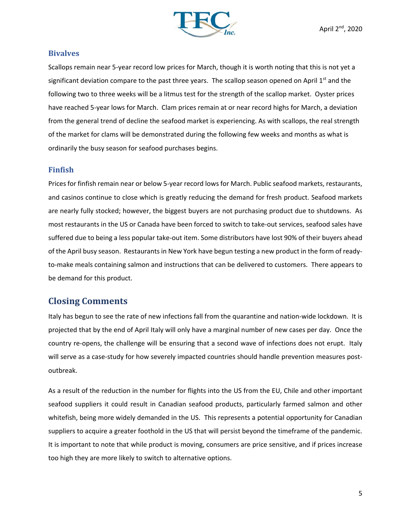

### **Bivalves**

Scallops remain near 5‐year record low prices for March, though it is worth noting that this is not yet a significant deviation compare to the past three years. The scallop season opened on April  $1<sup>st</sup>$  and the following two to three weeks will be a litmus test for the strength of the scallop market. Oyster prices have reached 5‐year lows for March. Clam prices remain at or near record highs for March, a deviation from the general trend of decline the seafood market is experiencing. As with scallops, the real strength of the market for clams will be demonstrated during the following few weeks and months as what is ordinarily the busy season for seafood purchases begins.

## **Finfish**

Prices for finfish remain near or below 5‐year record lows for March. Public seafood markets, restaurants, and casinos continue to close which is greatly reducing the demand for fresh product. Seafood markets are nearly fully stocked; however, the biggest buyers are not purchasing product due to shutdowns. As most restaurants in the US or Canada have been forced to switch to take-out services, seafood sales have suffered due to being a less popular take-out item. Some distributors have lost 90% of their buyers ahead of the April busy season. Restaurants in New York have begun testing a new product in the form of ready‐ to-make meals containing salmon and instructions that can be delivered to customers. There appears to be demand for this product.

# **Closing Comments**

Italy has begun to see the rate of new infections fall from the quarantine and nation‐wide lockdown. It is projected that by the end of April Italy will only have a marginal number of new cases per day. Once the country re‐opens, the challenge will be ensuring that a second wave of infections does not erupt. Italy will serve as a case-study for how severely impacted countries should handle prevention measures postoutbreak.

As a result of the reduction in the number for flights into the US from the EU, Chile and other important seafood suppliers it could result in Canadian seafood products, particularly farmed salmon and other whitefish, being more widely demanded in the US. This represents a potential opportunity for Canadian suppliers to acquire a greater foothold in the US that will persist beyond the timeframe of the pandemic. It is important to note that while product is moving, consumers are price sensitive, and if prices increase too high they are more likely to switch to alternative options.